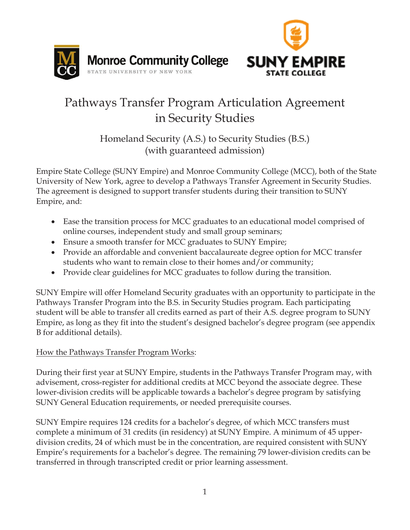



# Pathways Transfer Program Articulation Agreement in Security Studies

Homeland Security (A.S.) to Security Studies (B.S.) (with guaranteed admission)

Empire State College (SUNY Empire) and Monroe Community College (MCC), both of the State University of New York, agree to develop a Pathways Transfer Agreement in Security Studies. The agreement is designed to support transfer students during their transition to SUNY Empire, and:

- Ease the transition process for MCC graduates to an educational model comprised of online courses, independent study and small group seminars;
- Ensure a smooth transfer for MCC graduates to SUNY Empire;
- Provide an affordable and convenient baccalaureate degree option for MCC transfer students who want to remain close to their homes and/or community;
- Provide clear guidelines for MCC graduates to follow during the transition.

SUNY Empire will offer Homeland Security graduates with an opportunity to participate in the Pathways Transfer Program into the B.S. in Security Studies program. Each participating student will be able to transfer all credits earned as part of their A.S. degree program to SUNY Empire, as long as they fit into the student's designed bachelor's degree program (see appendix B for additional details).

## How the Pathways Transfer Program Works:

During their first year at SUNY Empire, students in the Pathways Transfer Program may, with advisement, cross-register for additional credits at MCC beyond the associate degree. These lower-division credits will be applicable towards a bachelor's degree program by satisfying SUNY General Education requirements, or needed prerequisite courses.

SUNY Empire requires 124 credits for a bachelor's degree, of which MCC transfers must complete a minimum of 31 credits (in residency) at SUNY Empire. A minimum of 45 upperdivision credits, 24 of which must be in the concentration, are required consistent with SUNY Empire's requirements for a bachelor's degree. The remaining 79 lower-division credits can be transferred in through transcripted credit or prior learning assessment.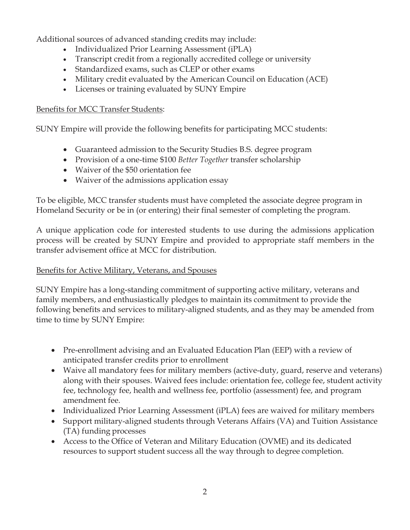Additional sources of advanced standing credits may include:

- Individualized Prior Learning Assessment (iPLA)
- Transcript credit from a regionally accredited college or university
- Standardized exams, such as CLEP or other exams
- Military credit evaluated by the American Council on Education (ACE)
- Licenses or training evaluated by SUNY Empire

#### Benefits for MCC Transfer Students:

SUNY Empire will provide the following benefits for participating MCC students:

- Guaranteed admission to the Security Studies B.S. degree program
- Provision of a one-time \$100 *Better Together* transfer scholarship
- Waiver of the \$50 orientation fee
- Waiver of the admissions application essay

To be eligible, MCC transfer students must have completed the associate degree program in Homeland Security or be in (or entering) their final semester of completing the program.

A unique application code for interested students to use during the admissions application process will be created by SUNY Empire and provided to appropriate staff members in the transfer advisement office at MCC for distribution.

#### Benefits for Active Military, Veterans, and Spouses

SUNY Empire has a long-standing commitment of supporting active military, veterans and family members, and enthusiastically pledges to maintain its commitment to provide the following benefits and services to military-aligned students, and as they may be amended from time to time by SUNY Empire:

- Pre-enrollment advising and an Evaluated Education Plan (EEP) with a review of anticipated transfer credits prior to enrollment
- Waive all mandatory fees for military members (active-duty, guard, reserve and veterans) along with their spouses. Waived fees include: orientation fee, college fee, student activity fee, technology fee, health and wellness fee, portfolio (assessment) fee, and program amendment fee.
- Individualized Prior Learning Assessment (iPLA) fees are waived for military members
- Support military-aligned students through Veterans Affairs (VA) and Tuition Assistance (TA) funding processes
- Access to the Office of Veteran and Military Education (OVME) and its dedicated resources to support student success all the way through to degree completion.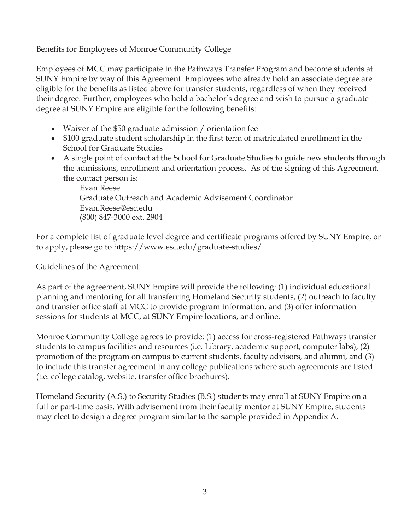#### Benefits for Employees of Monroe Community College

Employees of MCC may participate in the Pathways Transfer Program and become students at SUNY Empire by way of this Agreement. Employees who already hold an associate degree are eligible for the benefits as listed above for transfer students, regardless of when they received their degree. Further, employees who hold a bachelor's degree and wish to pursue a graduate degree at SUNY Empire are eligible for the following benefits:

- Waiver of the \$50 graduate admission / orientation fee
- \$100 graduate student scholarship in the first term of matriculated enrollment in the School for Graduate Studies
- A single point of contact at the School for Graduate Studies to guide new students through the admissions, enrollment and orientation process. As of the signing of this Agreement, the contact person is:

Evan Reese Graduate Outreach and Academic Advisement Coordinator Evan.Reese@esc.edu (800) 847-3000 ext. 2904

For a complete list of graduate level degree and certificate programs offered by SUNY Empire, or to apply, please go to https://www.esc.edu/graduate-studies/.

#### Guidelines of the Agreement:

As part of the agreement, SUNY Empire will provide the following: (1) individual educational planning and mentoring for all transferring Homeland Security students, (2) outreach to faculty and transfer office staff at MCC to provide program information, and (3) offer information sessions for students at MCC, at SUNY Empire locations, and online.

Monroe Community College agrees to provide: (1) access for cross-registered Pathways transfer students to campus facilities and resources (i.e. Library, academic support, computer labs), (2) promotion of the program on campus to current students, faculty advisors, and alumni, and (3) to include this transfer agreement in any college publications where such agreements are listed (i.e. college catalog, website, transfer office brochures).

Homeland Security (A.S.) to Security Studies (B.S.) students may enroll at SUNY Empire on a full or part-time basis. With advisement from their faculty mentor at SUNY Empire, students may elect to design a degree program similar to the sample provided in Appendix A.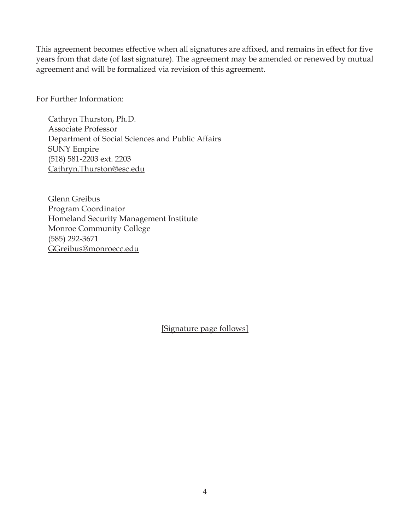This agreement becomes effective when all signatures are affixed, and remains in effect for five years from that date (of last signature). The agreement may be amended or renewed by mutual agreement and will be formalized via revision of this agreement.

For Further Information:

Cathryn Thurston, Ph.D. Associate Professor Department of Social Sciences and Public Affairs SUNY Empire (518) 581-2203 ext. 2203 Cathryn.Thurston@esc.edu

 Glenn Greibus Program Coordinator Homeland Security Management Institute Monroe Community College (585) 292-3671 GGreibus@monroecc.edu

[Signature page follows]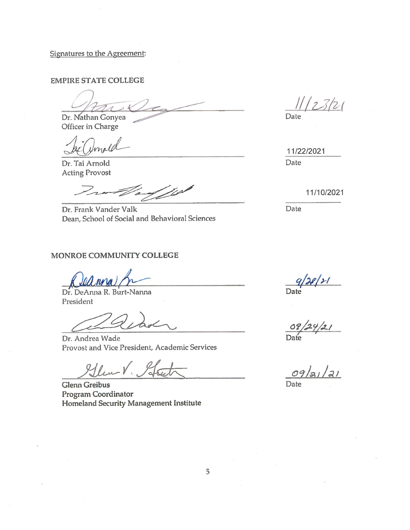Signatures to the Agreement:

**EMPIRE STATE COLLEGE** 

Dr. Nathan Gonyea

Officer in Charge

Umale

Dr. Tai Arnold **Acting Provost** 

 $\mathbb{Z}/\mathbb{Z}$ 

Dr. Frank Vander Valk Dean, School of Social and Behavioral Sciences

#### MONROE COMMUNITY COLLEGE

Dr. DeAnna R. Burt-Nanna President

Dr. Andrea Wade Provost and Vice President, Academic Services

Glen V. Ste

**Glenn Greibus** Program Coordinator Homeland Security Management Institute

 $11123121$ 

Date

11/22/2021 Date

11/10/2021

Date

 $\frac{q}{2}$ 

09/24/21

 $\frac{1}{2}$ 091 Date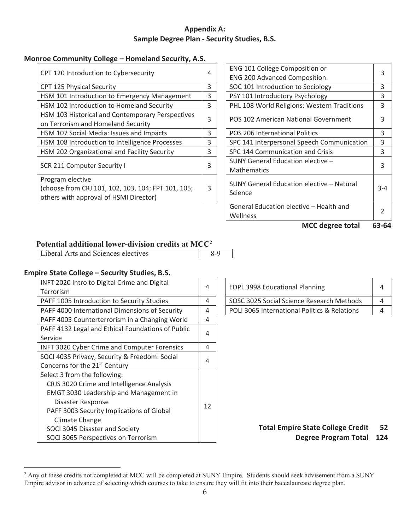#### **Appendix A: Sample Degree Plan - Security Studies, B.S.**

#### **Monroe Community College – Homeland Security, A.S.**

| CPT 120 Introduction to Cybersecurity                                                                            | 4 | ENG 101 College Composition or<br><b>ENG 200 Advanced Composition</b> | 3       |
|------------------------------------------------------------------------------------------------------------------|---|-----------------------------------------------------------------------|---------|
| CPT 125 Physical Security                                                                                        | 3 | SOC 101 Introduction to Sociology                                     | 3       |
| HSM 101 Introduction to Emergency Management                                                                     | 3 | PSY 101 Introductory Psychology                                       | 3       |
| HSM 102 Introduction to Homeland Security                                                                        | 3 | PHL 108 World Religions: Western Traditions                           | 3       |
| HSM 103 Historical and Contemporary Perspectives<br>on Terrorism and Homeland Security                           | 3 | POS 102 American National Government                                  | 3       |
| HSM 107 Social Media: Issues and Impacts                                                                         | 3 | POS 206 International Politics                                        | 3       |
| HSM 108 Introduction to Intelligence Processes                                                                   | 3 | SPC 141 Interpersonal Speech Communication                            | 3       |
| HSM 202 Organizational and Facility Security                                                                     | 3 | SPC 144 Communication and Crisis                                      | 3       |
| SCR 211 Computer Security I                                                                                      |   | SUNY General Education elective -<br><b>Mathematics</b>               | 3       |
| Program elective<br>(choose from CRJ 101, 102, 103, 104; FPT 101, 105;<br>others with approval of HSMI Director) | 3 | SUNY General Education elective - Natural<br>Science                  | $3 - 4$ |

| 4                       | ENG 101 College Composition or<br><b>ENG 200 Advanced Composition</b> | 3             |
|-------------------------|-----------------------------------------------------------------------|---------------|
| $\overline{3}$          | SOC 101 Introduction to Sociology                                     | 3             |
| $\overline{\mathbf{3}}$ | PSY 101 Introductory Psychology                                       | 3             |
| 3                       | PHL 108 World Religions: Western Traditions                           | 3             |
| 3                       | POS 102 American National Government                                  | 3             |
| 3                       | POS 206 International Politics                                        | 3             |
| $\overline{\mathbf{3}}$ | SPC 141 Interpersonal Speech Communication                            | 3             |
| $\overline{3}$          | SPC 144 Communication and Crisis                                      | 3             |
| 3                       | SUNY General Education elective -<br><b>Mathematics</b>               | 3             |
| 3                       | SUNY General Education elective - Natural<br>Science                  | $3 - 4$       |
|                         | General Education elective - Health and<br>Wellness                   | $\mathcal{P}$ |
|                         |                                                                       |               |

**MCC degree total 63-64** 

#### **Potential additional lower-division credits at MCC2**

Liberal Arts and Sciences electives 8-9

#### **Empire State College – Security Studies, B.S.**

| INFT 2020 Intro to Digital Crime and Digital        | 4  |                                              | 4               |
|-----------------------------------------------------|----|----------------------------------------------|-----------------|
| Terrorism                                           |    | <b>EDPL 3998 Educational Planning</b>        |                 |
| PAFF 1005 Introduction to Security Studies          | 4  | SOSC 3025 Social Science Research Methods    | 4               |
| PAFF 4000 International Dimensions of Security      | 4  | POLI 3065 International Politics & Relations | 4               |
| PAFF 4005 Counterterrorism in a Changing World      | 4  |                                              |                 |
| PAFF 4132 Legal and Ethical Foundations of Public   |    |                                              |                 |
| Service                                             | 4  |                                              |                 |
| <b>INFT 3020 Cyber Crime and Computer Forensics</b> | 4  |                                              |                 |
| SOCI 4035 Privacy, Security & Freedom: Social       |    |                                              |                 |
| Concerns for the 21 <sup>st</sup> Century           | 4  |                                              |                 |
| Select 3 from the following:                        |    |                                              |                 |
| CRJS 3020 Crime and Intelligence Analysis           |    |                                              |                 |
| <b>EMGT 3030 Leadership and Management in</b>       |    |                                              |                 |
| Disaster Response                                   | 12 |                                              |                 |
| PAFF 3003 Security Implications of Global           |    |                                              |                 |
| Climate Change                                      |    |                                              |                 |
| SOCI 3045 Disaster and Society                      |    | <b>Total Empire State College Credit</b>     | 5.              |
| SOCI 3065 Perspectives on Terrorism                 |    | <b>Degree Program Total</b>                  | 12 <sub>0</sub> |

| <b>EDPL 3998 Educational Planning</b>        |  |
|----------------------------------------------|--|
| SOSC 3025 Social Science Research Methods    |  |
| POLI 3065 International Politics & Relations |  |

#### **Total Empire State College Credit Degree Program Total 124 52**

<sup>&</sup>lt;sup>2</sup> Any of these credits not completed at MCC will be completed at SUNY Empire. Students should seek advisement from a SUNY Empire advisor in advance of selecting which courses to take to ensure they will fit into their baccalaureate degree plan.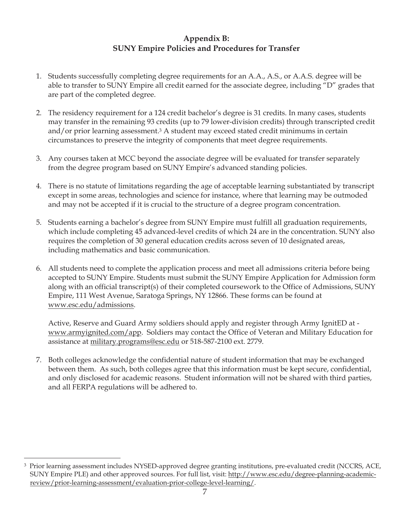#### **Appendix B: SUNY Empire Policies and Procedures for Transfer**

- 1. Students successfully completing degree requirements for an A.A., A.S., or A.A.S. degree will be able to transfer to SUNY Empire all credit earned for the associate degree, including "D" grades that are part of the completed degree.
- 2. The residency requirement for a 124 credit bachelor's degree is 31 credits. In many cases, students may transfer in the remaining 93 credits (up to 79 lower-division credits) through transcripted credit and/or prior learning assessment.3 A student may exceed stated credit minimums in certain circumstances to preserve the integrity of components that meet degree requirements.
- 3. Any courses taken at MCC beyond the associate degree will be evaluated for transfer separately from the degree program based on SUNY Empire's advanced standing policies.
- 4. There is no statute of limitations regarding the age of acceptable learning substantiated by transcript except in some areas, technologies and science for instance, where that learning may be outmoded and may not be accepted if it is crucial to the structure of a degree program concentration.
- 5. Students earning a bachelor's degree from SUNY Empire must fulfill all graduation requirements, which include completing 45 advanced-level credits of which 24 are in the concentration. SUNY also requires the completion of 30 general education credits across seven of 10 designated areas, including mathematics and basic communication.
- 6. All students need to complete the application process and meet all admissions criteria before being accepted to SUNY Empire. Students must submit the SUNY Empire Application for Admission form along with an official transcript(s) of their completed coursework to the Office of Admissions, SUNY Empire, 111 West Avenue, Saratoga Springs, NY 12866. These forms can be found at www.esc.edu/admissions.

Active, Reserve and Guard Army soldiers should apply and register through Army IgnitED at www.armyignited.com/app. Soldiers may contact the Office of Veteran and Military Education for assistance at military.programs@esc.edu or 518-587-2100 ext. 2779.

7. Both colleges acknowledge the confidential nature of student information that may be exchanged between them. As such, both colleges agree that this information must be kept secure, confidential, and only disclosed for academic reasons. Student information will not be shared with third parties, and all FERPA regulations will be adhered to.

<sup>3</sup> Prior learning assessment includes NYSED-approved degree granting institutions, pre-evaluated credit (NCCRS, ACE, SUNY Empire PLE) and other approved sources. For full list, visit: http://www.esc.edu/degree-planning-academicreview/prior-learning-assessment/evaluation-prior-college-level-learning/.